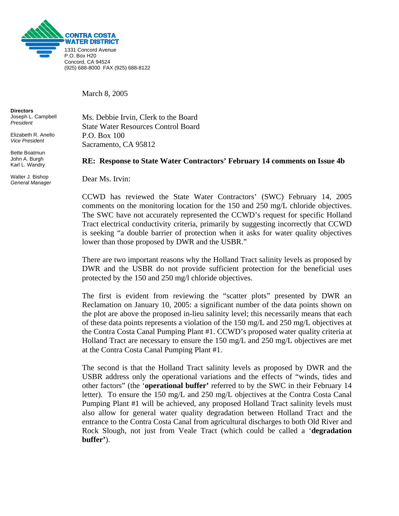

March 8, 2005

**Directors**  Joseph L. Campbell *President* 

Elizabeth R. Anello *Vice President* 

Bette Boatmun John A. Burgh Karl L. Wandry

Walter J. Bishop *General Manager* Ms. Debbie Irvin, Clerk to the Board State Water Resources Control Board P.O. Box 100 Sacramento, CA 95812

## **RE: Response to State Water Contractors' February 14 comments on Issue 4b**

Dear Ms. Irvin:

CCWD has reviewed the State Water Contractors' (SWC) February 14, 2005 comments on the monitoring location for the 150 and 250 mg/L chloride objectives. The SWC have not accurately represented the CCWD's request for specific Holland Tract electrical conductivity criteria, primarily by suggesting incorrectly that CCWD is seeking "a double barrier of protection when it asks for water quality objectives lower than those proposed by DWR and the USBR."

There are two important reasons why the Holland Tract salinity levels as proposed by DWR and the USBR do not provide sufficient protection for the beneficial uses protected by the 150 and 250 mg/l chloride objectives.

The first is evident from reviewing the "scatter plots" presented by DWR an Reclamation on January 10, 2005: a significant number of the data points shown on the plot are above the proposed in-lieu salinity level; this necessarily means that each of these data points represents a violation of the 150 mg/L and 250 mg/L objectives at the Contra Costa Canal Pumping Plant #1. CCWD's proposed water quality criteria at Holland Tract are necessary to ensure the 150 mg/L and 250 mg/L objectives are met at the Contra Costa Canal Pumping Plant #1.

The second is that the Holland Tract salinity levels as proposed by DWR and the USBR address only the operational variations and the effects of "winds, tides and other factors" (the '**operational buffer'** referred to by the SWC in their February 14 letter). To ensure the 150 mg/L and 250 mg/L objectives at the Contra Costa Canal Pumping Plant #1 will be achieved, any proposed Holland Tract salinity levels must also allow for general water quality degradation between Holland Tract and the entrance to the Contra Costa Canal from agricultural discharges to both Old River and Rock Slough, not just from Veale Tract (which could be called a '**degradation buffer'**).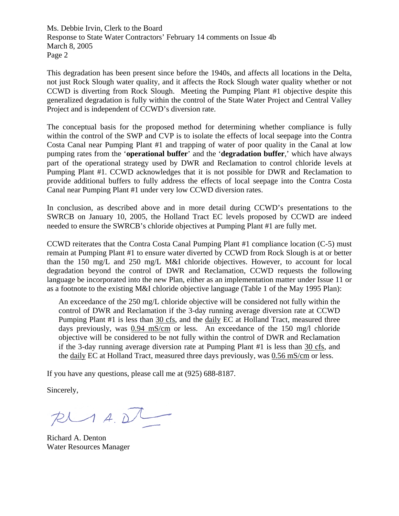Ms. Debbie Irvin, Clerk to the Board Response to State Water Contractors' February 14 comments on Issue 4b March 8, 2005 Page 2

This degradation has been present since before the 1940s, and affects all locations in the Delta, not just Rock Slough water quality, and it affects the Rock Slough water quality whether or not CCWD is diverting from Rock Slough. Meeting the Pumping Plant #1 objective despite this generalized degradation is fully within the control of the State Water Project and Central Valley Project and is independent of CCWD's diversion rate.

The conceptual basis for the proposed method for determining whether compliance is fully within the control of the SWP and CVP is to isolate the effects of local seepage into the Contra Costa Canal near Pumping Plant #1 and trapping of water of poor quality in the Canal at low pumping rates from the '**operational buffer**' and the '**degradation buffer**,' which have always part of the operational strategy used by DWR and Reclamation to control chloride levels at Pumping Plant #1. CCWD acknowledges that it is not possible for DWR and Reclamation to provide additional buffers to fully address the effects of local seepage into the Contra Costa Canal near Pumping Plant #1 under very low CCWD diversion rates.

In conclusion, as described above and in more detail during CCWD's presentations to the SWRCB on January 10, 2005, the Holland Tract EC levels proposed by CCWD are indeed needed to ensure the SWRCB's chloride objectives at Pumping Plant #1 are fully met.

CCWD reiterates that the Contra Costa Canal Pumping Plant #1 compliance location (C-5) must remain at Pumping Plant #1 to ensure water diverted by CCWD from Rock Slough is at or better than the 150 mg/L and 250 mg/L M&I chloride objectives. However, to account for local degradation beyond the control of DWR and Reclamation, CCWD requests the following language be incorporated into the new Plan, either as an implementation matter under Issue 11 or as a footnote to the existing M&I chloride objective language (Table 1 of the May 1995 Plan):

An exceedance of the 250 mg/L chloride objective will be considered not fully within the control of DWR and Reclamation if the 3-day running average diversion rate at CCWD Pumping Plant #1 is less than 30 cfs, and the daily EC at Holland Tract, measured three days previously, was 0.94 mS/cm or less. An exceedance of the 150 mg/l chloride objective will be considered to be not fully within the control of DWR and Reclamation if the 3-day running average diversion rate at Pumping Plant #1 is less than 30 cfs, and the daily EC at Holland Tract, measured three days previously, was 0.56 mS/cm or less.

If you have any questions, please call me at (925) 688-8187.

Sincerely,

 $R$ 

Richard A. Denton Water Resources Manager